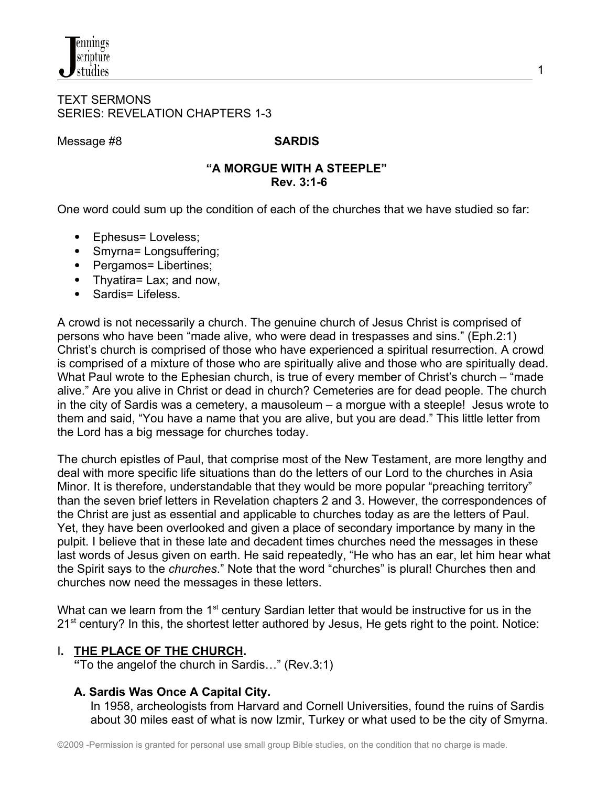#### TEXT SERMONS SERIES: REVELATION CHAPTERS 1-3

Message #8 **SARDIS**

## **"A MORGUE WITH A STEEPLE" Rev. 3:1-6**

One word could sum up the condition of each of the churches that we have studied so far:

- Ephesus= Loveless;
- Smyrna= Longsuffering;
- Pergamos= Libertines;
- Thyatira= Lax; and now,
- Sardis= Lifeless

A crowd is not necessarily a church. The genuine church of Jesus Christ is comprised of persons who have been "made alive*,* who were dead in trespasses and sins." (Eph.2:1) Christ's church is comprised of those who have experienced a spiritual resurrection. A crowd is comprised of a mixture of those who are spiritually alive and those who are spiritually dead. What Paul wrote to the Ephesian church, is true of every member of Christ's church – "made alive." Are you alive in Christ or dead in church? Cemeteries are for dead people. The church in the city of Sardis was a cemetery, a mausoleum – a morgue with a steeple! Jesus wrote to them and said, "You have a name that you are alive, but you are dead." This little letter from the Lord has a big message for churches today.

The church epistles of Paul, that comprise most of the New Testament, are more lengthy and deal with more specific life situations than do the letters of our Lord to the churches in Asia Minor. It is therefore, understandable that they would be more popular "preaching territory" than the seven brief letters in Revelation chapters 2 and 3. However, the correspondences of the Christ are just as essential and applicable to churches today as are the letters of Paul. Yet, they have been overlooked and given a place of secondary importance by many in the pulpit. I believe that in these late and decadent times churches need the messages in these last words of Jesus given on earth. He said repeatedly, "He who has an ear, let him hear what the Spirit says to the *churches*." Note that the word "churches" is plural! Churches then and churches now need the messages in these letters.

What can we learn from the 1<sup>st</sup> century Sardian letter that would be instructive for us in the 21<sup>st</sup> century? In this, the shortest letter authored by Jesus, He gets right to the point. Notice:

# I**. THE PLACE OF THE CHURCH.**

 **"**To the angelof the church in Sardis…" (Rev.3:1)

# **A. Sardis Was Once A Capital City.**

In 1958, archeologists from Harvard and Cornell Universities, found the ruins of Sardis about 30 miles east of what is now Izmir, Turkey or what used to be the city of Smyrna.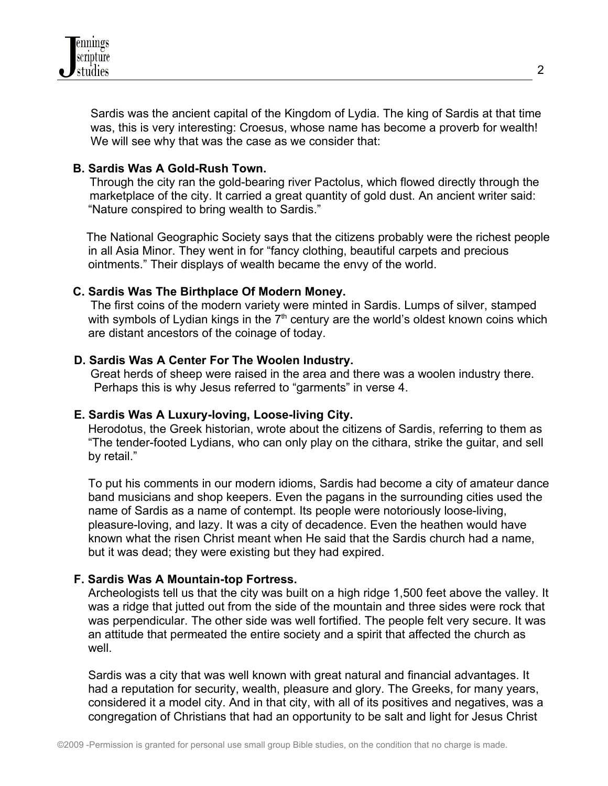

 Sardis was the ancient capital of the Kingdom of Lydia. The king of Sardis at that time was, this is very interesting: Croesus, whose name has become a proverb for wealth! We will see why that was the case as we consider that:

#### **B. Sardis Was A Gold-Rush Town.**

 Through the city ran the gold-bearing river Pactolus, which flowed directly through the marketplace of the city. It carried a great quantity of gold dust. An ancient writer said: "Nature conspired to bring wealth to Sardis."

 The National Geographic Society says that the citizens probably were the richest people in all Asia Minor. They went in for "fancy clothing, beautiful carpets and precious ointments." Their displays of wealth became the envy of the world.

#### **C. Sardis Was The Birthplace Of Modern Money.**

 The first coins of the modern variety were minted in Sardis. Lumps of silver, stamped with symbols of Lydian kings in the  $7<sup>th</sup>$  century are the world's oldest known coins which are distant ancestors of the coinage of today.

#### **D. Sardis Was A Center For The Woolen Industry.**

Great herds of sheep were raised in the area and there was a woolen industry there. Perhaps this is why Jesus referred to "garments" in verse 4.

#### **E. Sardis Was A Luxury-loving, Loose-living City.**

Herodotus, the Greek historian, wrote about the citizens of Sardis, referring to them as "The tender-footed Lydians, who can only play on the cithara, strike the guitar, and sell by retail."

To put his comments in our modern idioms, Sardis had become a city of amateur dance band musicians and shop keepers. Even the pagans in the surrounding cities used the name of Sardis as a name of contempt. Its people were notoriously loose-living, pleasure-loving, and lazy. It was a city of decadence. Even the heathen would have known what the risen Christ meant when He said that the Sardis church had a name, but it was dead; they were existing but they had expired.

## **F. Sardis Was A Mountain-top Fortress.**

Archeologists tell us that the city was built on a high ridge 1,500 feet above the valley. It was a ridge that jutted out from the side of the mountain and three sides were rock that was perpendicular. The other side was well fortified. The people felt very secure. It was an attitude that permeated the entire society and a spirit that affected the church as well.

Sardis was a city that was well known with great natural and financial advantages. It had a reputation for security, wealth, pleasure and glory. The Greeks, for many years, considered it a model city. And in that city, with all of its positives and negatives, was a congregation of Christians that had an opportunity to be salt and light for Jesus Christ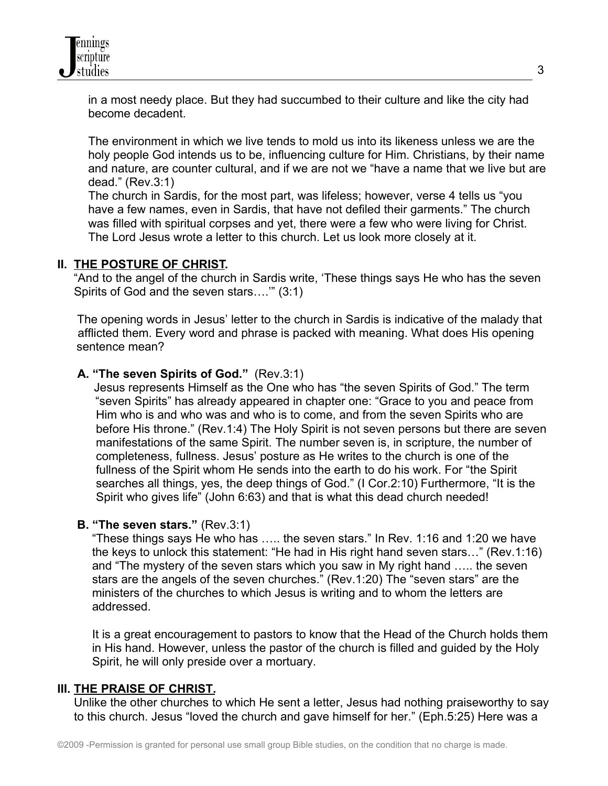in a most needy place. But they had succumbed to their culture and like the city had become decadent.

The environment in which we live tends to mold us into its likeness unless we are the holy people God intends us to be, influencing culture for Him. Christians, by their name and nature, are counter cultural, and if we are not we "have a name that we live but are dead." (Rev.3:1)

The church in Sardis, for the most part, was lifeless; however, verse 4 tells us "you have a few names, even in Sardis, that have not defiled their garments." The church was filled with spiritual corpses and yet, there were a few who were living for Christ. The Lord Jesus wrote a letter to this church. Let us look more closely at it.

## **II. THE POSTURE OF CHRIST.**

"And to the angel of the church in Sardis write, 'These things says He who has the seven Spirits of God and the seven stars….'" (3:1)

The opening words in Jesus' letter to the church in Sardis is indicative of the malady that afflicted them. Every word and phrase is packed with meaning. What does His opening sentence mean?

## **A. "The seven Spirits of God."** (Rev.3:1)

 Jesus represents Himself as the One who has "the seven Spirits of God." The term "seven Spirits" has already appeared in chapter one: "Grace to you and peace from Him who is and who was and who is to come, and from the seven Spirits who are before His throne." (Rev.1:4) The Holy Spirit is not seven persons but there are seven manifestations of the same Spirit. The number seven is, in scripture, the number of completeness, fullness. Jesus' posture as He writes to the church is one of the fullness of the Spirit whom He sends into the earth to do his work. For "the Spirit searches all things, yes, the deep things of God." (I Cor.2:10) Furthermore, "It is the Spirit who gives life" (John 6:63) and that is what this dead church needed!

## **B. "The seven stars."** (Rev.3:1)

"These things says He who has ….. the seven stars." In Rev. 1:16 and 1:20 we have the keys to unlock this statement: "He had in His right hand seven stars…" (Rev.1:16) and "The mystery of the seven stars which you saw in My right hand ….. the seven stars are the angels of the seven churches." (Rev.1:20) The "seven stars" are the ministers of the churches to which Jesus is writing and to whom the letters are addressed.

It is a great encouragement to pastors to know that the Head of the Church holds them in His hand. However, unless the pastor of the church is filled and guided by the Holy Spirit, he will only preside over a mortuary.

## **III. THE PRAISE OF CHRIST.**

 Unlike the other churches to which He sent a letter, Jesus had nothing praiseworthy to say to this church. Jesus "loved the church and gave himself for her." (Eph.5:25) Here was a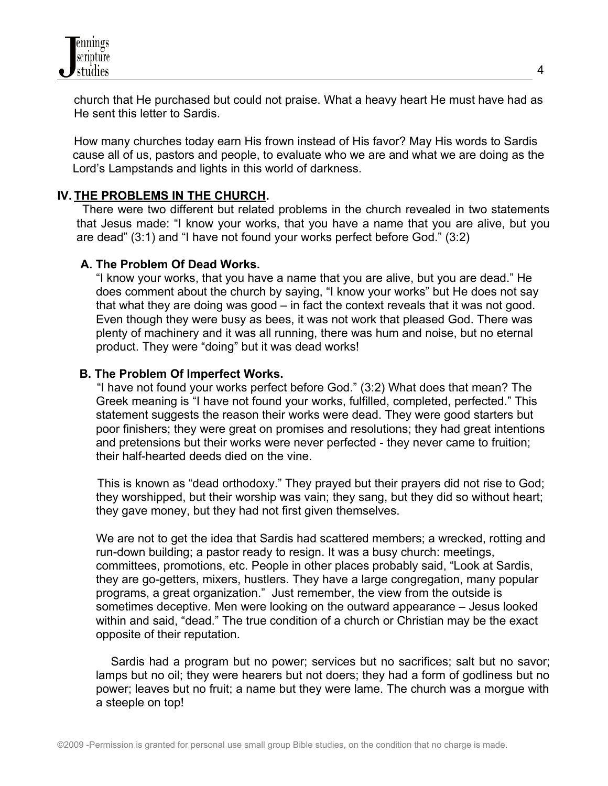

 church that He purchased but could not praise. What a heavy heart He must have had as He sent this letter to Sardis.

 How many churches today earn His frown instead of His favor? May His words to Sardis cause all of us, pastors and people, to evaluate who we are and what we are doing as the Lord's Lampstands and lights in this world of darkness.

#### **IV. THE PROBLEMS IN THE CHURCH.**

There were two different but related problems in the church revealed in two statements that Jesus made: "I know your works, that you have a name that you are alive, but you are dead" (3:1) and "I have not found your works perfect before God." (3:2)

#### **A. The Problem Of Dead Works.**

 "I know your works, that you have a name that you are alive, but you are dead." He does comment about the church by saying, "I know your works" but He does not say that what they are doing was good – in fact the context reveals that it was not good. Even though they were busy as bees, it was not work that pleased God. There was plenty of machinery and it was all running, there was hum and noise, but no eternal product. They were "doing" but it was dead works!

#### **B. The Problem Of Imperfect Works.**

"I have not found your works perfect before God." (3:2) What does that mean? The Greek meaning is "I have not found your works, fulfilled, completed, perfected." This statement suggests the reason their works were dead. They were good starters but poor finishers; they were great on promises and resolutions; they had great intentions and pretensions but their works were never perfected - they never came to fruition; their half-hearted deeds died on the vine.

 This is known as "dead orthodoxy." They prayed but their prayers did not rise to God; they worshipped, but their worship was vain; they sang, but they did so without heart; they gave money, but they had not first given themselves.

 We are not to get the idea that Sardis had scattered members; a wrecked, rotting and run-down building; a pastor ready to resign. It was a busy church: meetings, committees, promotions, etc. People in other places probably said, "Look at Sardis, they are go-getters, mixers, hustlers. They have a large congregation, many popular programs, a great organization." Just remember, the view from the outside is sometimes deceptive. Men were looking on the outward appearance – Jesus looked within and said, "dead." The true condition of a church or Christian may be the exact opposite of their reputation.

 Sardis had a program but no power; services but no sacrifices; salt but no savor; lamps but no oil; they were hearers but not doers; they had a form of godliness but no power; leaves but no fruit; a name but they were lame. The church was a morgue with a steeple on top!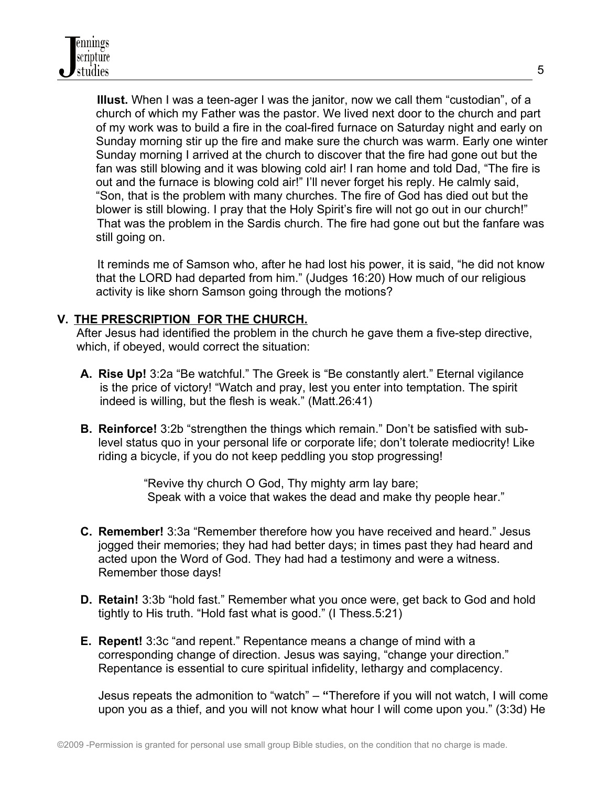**Illust.** When I was a teen-ager I was the janitor, now we call them "custodian", of a church of which my Father was the pastor. We lived next door to the church and part of my work was to build a fire in the coal-fired furnace on Saturday night and early on Sunday morning stir up the fire and make sure the church was warm. Early one winter Sunday morning I arrived at the church to discover that the fire had gone out but the fan was still blowing and it was blowing cold air! I ran home and told Dad, "The fire is out and the furnace is blowing cold air!" I'll never forget his reply. He calmly said, "Son, that is the problem with many churches. The fire of God has died out but the blower is still blowing. I pray that the Holy Spirit's fire will not go out in our church!" That was the problem in the Sardis church. The fire had gone out but the fanfare was still going on.

 It reminds me of Samson who, after he had lost his power, it is said, "he did not know that the LORD had departed from him." (Judges 16:20) How much of our religious activity is like shorn Samson going through the motions?

# **V. THE PRESCRIPTION FOR THE CHURCH.**

After Jesus had identified the problem in the church he gave them a five-step directive, which, if obeyed, would correct the situation:

- **A. Rise Up!** 3:2a "Be watchful." The Greek is "Be constantly alert." Eternal vigilance is the price of victory! "Watch and pray, lest you enter into temptation. The spirit indeed is willing, but the flesh is weak." (Matt.26:41)
- **B. Reinforce!** 3:2b "strengthen the things which remain." Don't be satisfied with sublevel status quo in your personal life or corporate life; don't tolerate mediocrity! Like riding a bicycle, if you do not keep peddling you stop progressing!

 "Revive thy church O God, Thy mighty arm lay bare; Speak with a voice that wakes the dead and make thy people hear."

- **C. Remember!** 3:3a "Remember therefore how you have received and heard." Jesus jogged their memories; they had had better days; in times past they had heard and acted upon the Word of God. They had had a testimony and were a witness. Remember those days!
- **D. Retain!** 3:3b "hold fast." Remember what you once were, get back to God and hold tightly to His truth. "Hold fast what is good." (I Thess.5:21)
- **E. Repent!** 3:3c "and repent." Repentance means a change of mind with a corresponding change of direction. Jesus was saying, "change your direction." Repentance is essential to cure spiritual infidelity, lethargy and complacency.

Jesus repeats the admonition to "watch" – **"**Therefore if you will not watch, I will come upon you as a thief, and you will not know what hour I will come upon you." (3:3d) He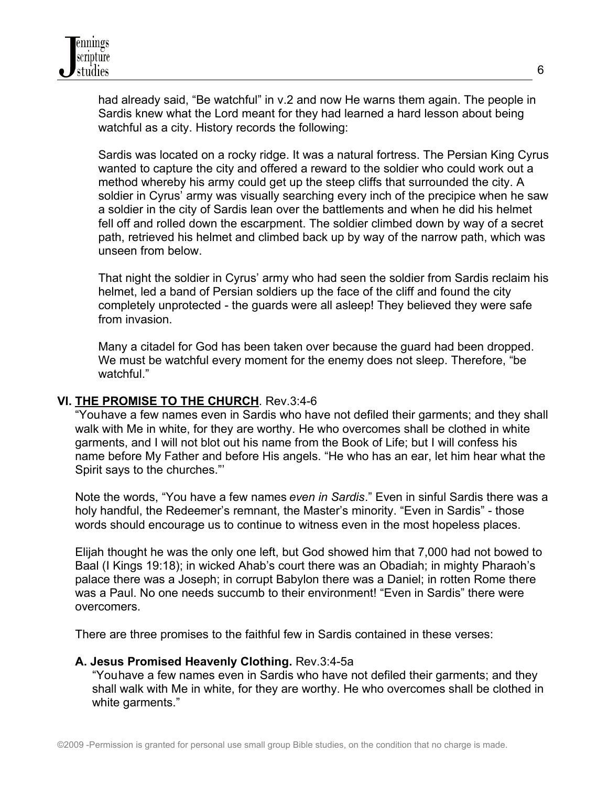had already said, "Be watchful" in v.2 and now He warns them again. The people in Sardis knew what the Lord meant for they had learned a hard lesson about being watchful as a city. History records the following:

Sardis was located on a rocky ridge. It was a natural fortress. The Persian King Cyrus wanted to capture the city and offered a reward to the soldier who could work out a method whereby his army could get up the steep cliffs that surrounded the city. A soldier in Cyrus' army was visually searching every inch of the precipice when he saw a soldier in the city of Sardis lean over the battlements and when he did his helmet fell off and rolled down the escarpment. The soldier climbed down by way of a secret path, retrieved his helmet and climbed back up by way of the narrow path, which was unseen from below.

That night the soldier in Cyrus' army who had seen the soldier from Sardis reclaim his helmet, led a band of Persian soldiers up the face of the cliff and found the city completely unprotected - the guards were all asleep! They believed they were safe from invasion.

Many a citadel for God has been taken over because the guard had been dropped. We must be watchful every moment for the enemy does not sleep. Therefore, "be watchful."

## **VI. THE PROMISE TO THE CHURCH**. Rev.3:4-6

"Youhave a few names even in Sardis who have not defiled their garments; and they shall walk with Me in white, for they are worthy. He who overcomes shall be clothed in white garments, and I will not blot out his name from the Book of Life; but I will confess his name before My Father and before His angels. "He who has an ear, let him hear what the Spirit says to the churches."'

Note the words, "You have a few names *even in Sardis*." Even in sinful Sardis there was a holy handful, the Redeemer's remnant, the Master's minority. "Even in Sardis" - those words should encourage us to continue to witness even in the most hopeless places.

Elijah thought he was the only one left, but God showed him that 7,000 had not bowed to Baal (I Kings 19:18); in wicked Ahab's court there was an Obadiah; in mighty Pharaoh's palace there was a Joseph; in corrupt Babylon there was a Daniel; in rotten Rome there was a Paul. No one needs succumb to their environment! "Even in Sardis" there were overcomers.

There are three promises to the faithful few in Sardis contained in these verses:

## **A. Jesus Promised Heavenly Clothing.** Rev.3:4-5a

"Youhave a few names even in Sardis who have not defiled their garments; and they shall walk with Me in white, for they are worthy. He who overcomes shall be clothed in white garments."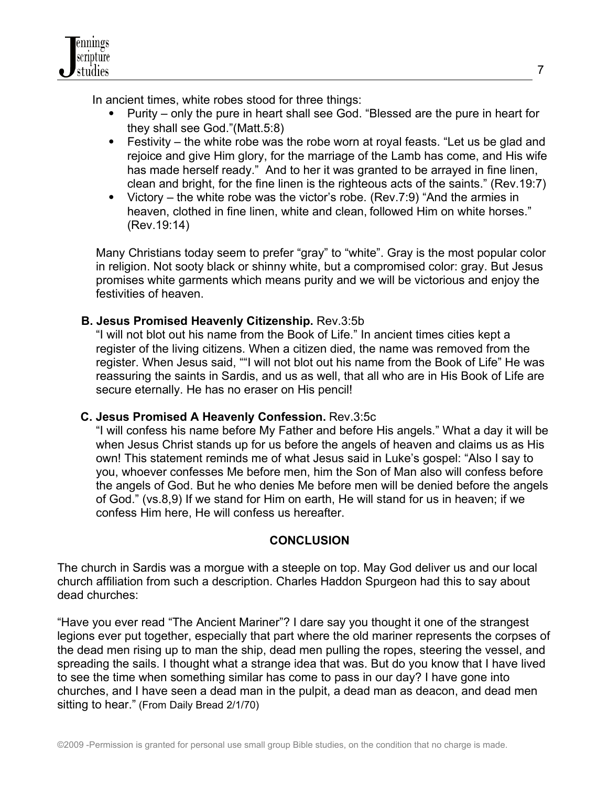

In ancient times, white robes stood for three things:

- Purity only the pure in heart shall see God. "Blessed are the pure in heart for they shall see God."(Matt.5:8)
- Festivity the white robe was the robe worn at royal feasts. "Let us be glad and rejoice and give Him glory, for the marriage of the Lamb has come, and His wife has made herself ready." And to her it was granted to be arrayed in fine linen, clean and bright, for the fine linen is the righteous acts of the saints." (Rev.19:7)
- Victory the white robe was the victor's robe. (Rev.7:9) "And the armies in heaven, clothed in fine linen, white and clean, followed Him on white horses." (Rev.19:14)

Many Christians today seem to prefer "gray" to "white". Gray is the most popular color in religion. Not sooty black or shinny white, but a compromised color: gray. But Jesus promises white garments which means purity and we will be victorious and enjoy the festivities of heaven.

## **B. Jesus Promised Heavenly Citizenship.** Rev.3:5b

"I will not blot out his name from the Book of Life." In ancient times cities kept a register of the living citizens. When a citizen died, the name was removed from the register. When Jesus said, ""I will not blot out his name from the Book of Life" He was reassuring the saints in Sardis, and us as well, that all who are in His Book of Life are secure eternally. He has no eraser on His pencil!

## **C. Jesus Promised A Heavenly Confession.** Rev.3:5c

"I will confess his name before My Father and before His angels." What a day it will be when Jesus Christ stands up for us before the angels of heaven and claims us as His own! This statement reminds me of what Jesus said in Luke's gospel: "Also I say to you, whoever confesses Me before men, him the Son of Man also will confess before the angels of God. But he who denies Me before men will be denied before the angels of God." (vs.8,9) If we stand for Him on earth, He will stand for us in heaven; if we confess Him here, He will confess us hereafter.

## **CONCLUSION**

The church in Sardis was a morgue with a steeple on top. May God deliver us and our local church affiliation from such a description. Charles Haddon Spurgeon had this to say about dead churches:

"Have you ever read "The Ancient Mariner"? I dare say you thought it one of the strangest legions ever put together, especially that part where the old mariner represents the corpses of the dead men rising up to man the ship, dead men pulling the ropes, steering the vessel, and spreading the sails. I thought what a strange idea that was. But do you know that I have lived to see the time when something similar has come to pass in our day? I have gone into churches, and I have seen a dead man in the pulpit, a dead man as deacon, and dead men sitting to hear." (From Daily Bread 2/1/70)